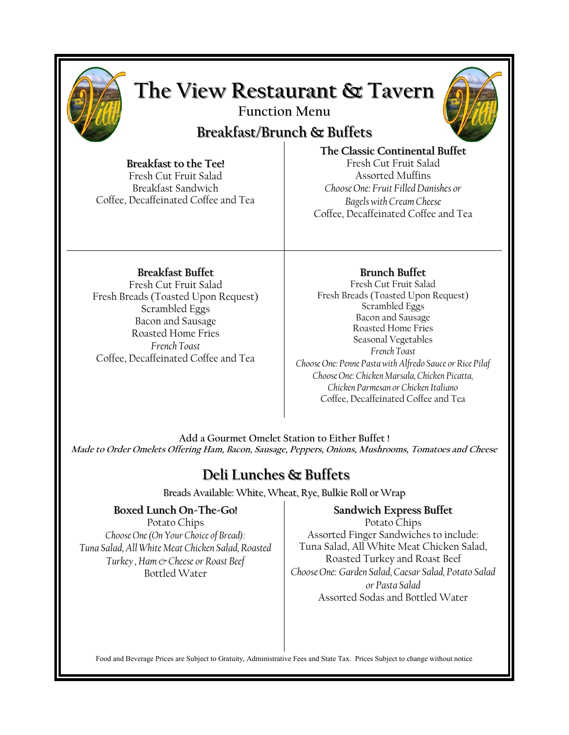

# **The View Restaurant & Tavern**

**Function Menu**

# **Breakfast/Brunch & Buffets**



## **Breakfast to the Tee!**

Fresh Cut Fruit Salad Breakfast Sandwich Coffee, Decaffeinated Coffee and Tea

**The Classic Continental Buffet** Fresh Cut Fruit Salad Assorted Muffins *Choose One: Fruit Filled Danishes or Bagels with Cream Cheese*  Coffee, Decaffeinated Coffee and Tea

### **Breakfast Buffet**

Fresh Cut Fruit Salad Fresh Breads (Toasted Upon Request) Scrambled Eggs Bacon and Sausage Roasted Home Fries *French Toast*  Coffee, Decaffeinated Coffee and Tea

### **Brunch Buffet**

Fresh Cut Fruit Salad Fresh Breads (Toasted Upon Request) Scrambled Eggs Bacon and Sausage Roasted Home Fries Seasonal Vegetables *French Toast Choose One: Penne Pasta with Alfredo Sauce or Rice Pilaf Choose One: Chicken Marsala, Chicken Picatta, Chicken Parmesan or Chicken Italiano* Coffee, Decaffeinated Coffee and Tea

**Add a Gourmet Omelet Station to Either Buffet ! Made to Order Omelets Offering Ham, Bacon, Sausage, Peppers, Onions, Mushrooms, Tomatoes and Cheese**

# **Deli Lunches & Buffets**

Breads Available: White, Wheat, Rye, Bulkie Roll or Wrap

### **Boxed Lunch On-The-Go!**

Potato Chips *Choose One (On Your Choice of Bread): Tuna Salad, All White Meat Chicken Salad, Roasted Turkey , Ham & Cheese or Roast Beef*  Bottled Water

### **Sandwich Express Buffet**

Potato Chips Assorted Finger Sandwiches to include: Tuna Salad, All White Meat Chicken Salad, Roasted Turkey and Roast Beef *Choose One: Garden Salad, Caesar Salad, Potato Salad or Pasta Salad*  Assorted Sodas and Bottled Water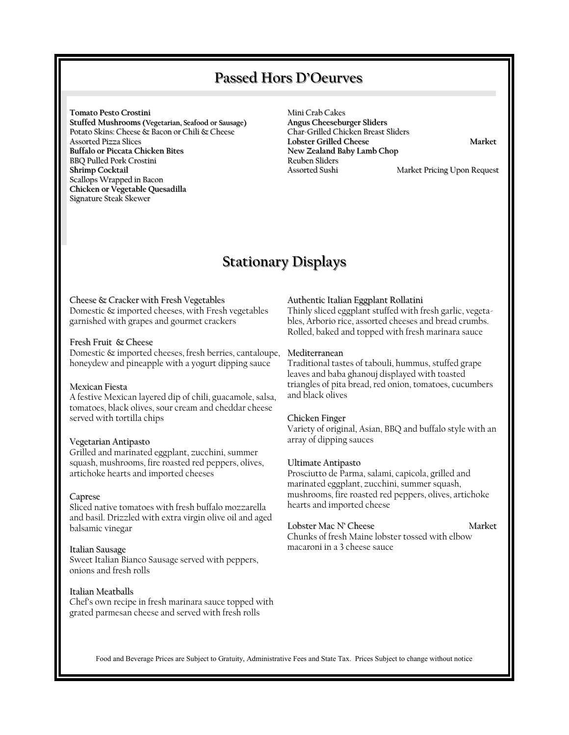### **Passed Hors D'Oeurves**

**Tomato Pesto Crostini** 

**Stuffed Mushrooms (Vegetarian, Seafood or Sausage)**  Potato Skins: Cheese & Bacon or Chili & Cheese Assorted Pizza Slices **Buffalo or Piccata Chicken Bites**  BBQ Pulled Pork Crostini **Shrimp Cocktail**  Scallops Wrapped in Bacon **Chicken or Vegetable Quesadilla**  Signature Steak Skewer

Mini Crab Cakes **Angus Cheeseburger Sliders**  Char-Grilled Chicken Breast Sliders **Lobster Grilled Cheese** Market **New Zealand Baby Lamb Chop**  Reuben Sliders<br>Assorted Sushi

Market Pricing Upon Request

# **Stationary Displays**

#### Cheese & Cracker with Fresh Vegetables

Domestic & imported cheeses, with Fresh vegetables garnished with grapes and gourmet crackers

#### Fresh Fruit & Cheese

Domestic & imported cheeses, fresh berries, cantaloupe, honeydew and pineapple with a yogurt dipping sauce

#### Mexican Fiesta

A festive Mexican layered dip of chili, guacamole, salsa, tomatoes, black olives, sour cream and cheddar cheese served with tortilla chips

#### Vegetarian Antipasto

Grilled and marinated eggplant, zucchini, summer squash, mushrooms, fire roasted red peppers, olives, artichoke hearts and imported cheeses

#### Caprese

Sliced native tomatoes with fresh buffalo mozzarella and basil. Drizzled with extra virgin olive oil and aged balsamic vinegar

#### Italian Sausage

Sweet Italian Bianco Sausage served with peppers, onions and fresh rolls

#### Italian Meatballs

Chef's own recipe in fresh marinara sauce topped with grated parmesan cheese and served with fresh rolls

#### Authentic Italian Eggplant Rollatini

Thinly sliced eggplant stuffed with fresh garlic, vegetables, Arborio rice, assorted cheeses and bread crumbs. Rolled, baked and topped with fresh marinara sauce

#### Mediterranean

Traditional tastes of tabouli, hummus, stuffed grape leaves and baba ghanouj displayed with toasted triangles of pita bread, red onion, tomatoes, cucumbers and black olives

#### Chicken Finger

Variety of original, Asian, BBQ and buffalo style with an array of dipping sauces

#### Ultimate Antipasto

Prosciutto de Parma, salami, capicola, grilled and marinated eggplant, zucchini, summer squash, mushrooms, fire roasted red peppers, olives, artichoke hearts and imported cheese

#### Lobster Mac N' Cheese Market

Chunks of fresh Maine lobster tossed with elbow macaroni in a 3 cheese sauce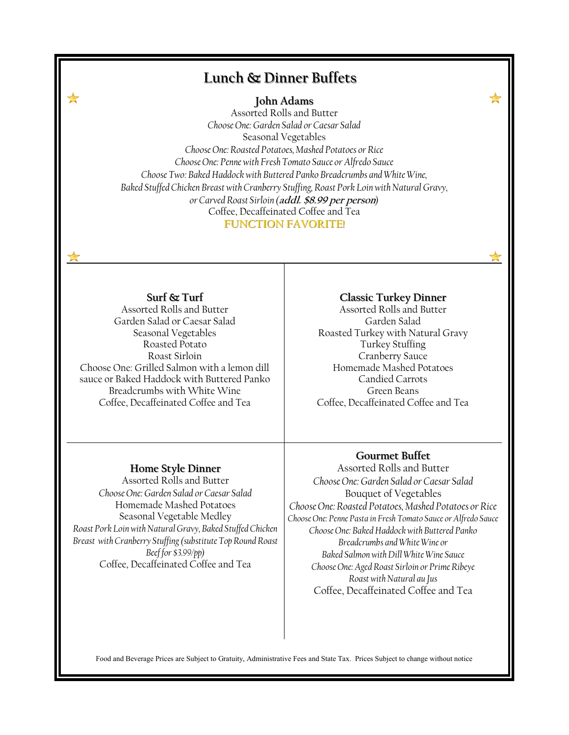# **Lunch & Dinner Buffets**

**John Adams**

Assorted Rolls and Butter *Choose One: Garden Salad or Caesar Salad*  Seasonal Vegetables *Choose One: Roasted Potatoes, Mashed Potatoes or Rice Choose One: Penne with Fresh Tomato Sauce or Alfredo Sauce Choose Two: Baked Haddock with Buttered Panko Breadcrumbs and White Wine, Baked Stuffed Chicken Breast with Cranberry Stuffing, Roast Pork Loin with Natural Gravy, or Carved Roast Sirloin (***addl. \$8.99 per person***)*  Coffee, Decaffeinated Coffee and Tea **FUNCTION FAVORITE!**

**Surf & Turf**

Assorted Rolls and Butter Garden Salad or Caesar Salad Seasonal Vegetables Roasted Potato Roast Sirloin Choose One: Grilled Salmon with a lemon dill sauce or Baked Haddock with Buttered Panko Breadcrumbs with White Wine Coffee, Decaffeinated Coffee and Tea

#### **Classic Turkey Dinner**

Assorted Rolls and Butter Garden Salad Roasted Turkey with Natural Gravy Turkey Stuffing Cranberry Sauce Homemade Mashed Potatoes Candied Carrots Green Beans Coffee, Decaffeinated Coffee and Tea

#### **Home Style Dinner**

Assorted Rolls and Butter *Choose One: Garden Salad or Caesar Salad*  Homemade Mashed Potatoes Seasonal Vegetable Medley *Roast Pork Loin with Natural Gravy, Baked Stuffed Chicken Breast with Cranberry Stuffing (substitute Top Round Roast Beef for \$3.99/pp)* Coffee, Decaffeinated Coffee and Tea

### **Gourmet Buffet**

Assorted Rolls and Butter *Choose One: Garden Salad or Caesar Salad* Bouquet of Vegetables *Choose One: Roasted Potatoes, Mashed Potatoes or Rice Choose One: Penne Pasta in Fresh Tomato Sauce or Alfredo Sauce Choose One: Baked Haddock with Buttered Panko Breadcrumbs and White Wine or Baked Salmon with Dill White Wine Sauce Choose One: Aged Roast Sirloin or Prime Ribeye Roast with Natural au Jus*  Coffee, Decaffeinated Coffee and Tea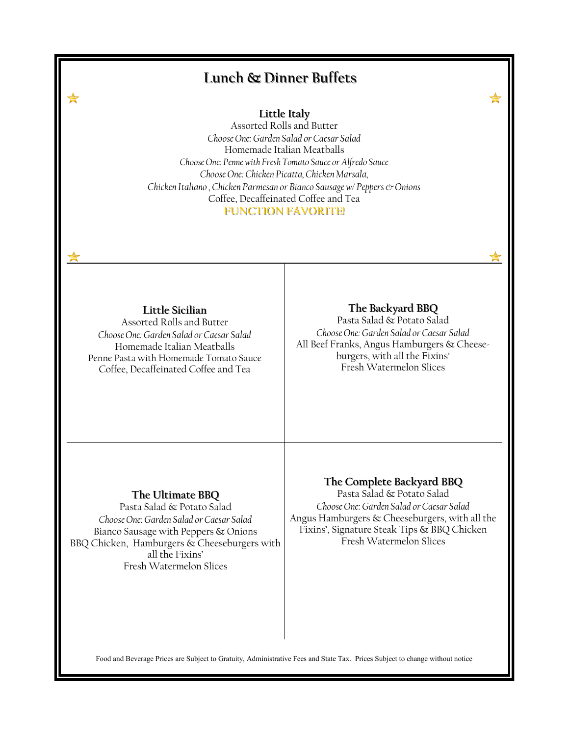# **Little Italy**  Assorted Rolls and Butter *Choose One: Garden Salad or Caesar Salad*  Homemade Italian Meatballs *Choose One: Penne with Fresh Tomato Sauce or Alfredo Sauce Choose One: Chicken Picatta, Chicken Marsala, Chicken Italiano , Chicken Parmesan or Bianco Sausage w/ Peppers & Onions* Coffee, Decaffeinated Coffee and Tea **FUNCTION FAVORITE! Lunch & Dinner Buffets The Backyard BBQ**  Pasta Salad & Potato Salad *Choose One: Garden Salad or Caesar Salad*  All Beef Franks, Angus Hamburgers & Cheeseburgers, with all the Fixins' Fresh Watermelon Slices **The Ultimate BBQ** Pasta Salad & Potato Salad *Choose One: Garden Salad or Caesar Salad*  Bianco Sausage with Peppers & Onions BBQ Chicken, Hamburgers & Cheeseburgers with all the Fixins' Fresh Watermelon Slices **The Complete Backyard BBQ** Pasta Salad & Potato Salad *Choose One: Garden Salad or Caesar Salad*  Angus Hamburgers & Cheeseburgers, with all the Fixins', Signature Steak Tips & BBQ Chicken Fresh Watermelon Slices **Little Sicilian** Assorted Rolls and Butter *Choose One: Garden Salad or Caesar Salad*  Homemade Italian Meatballs Penne Pasta with Homemade Tomato Sauce Coffee, Decaffeinated Coffee and Tea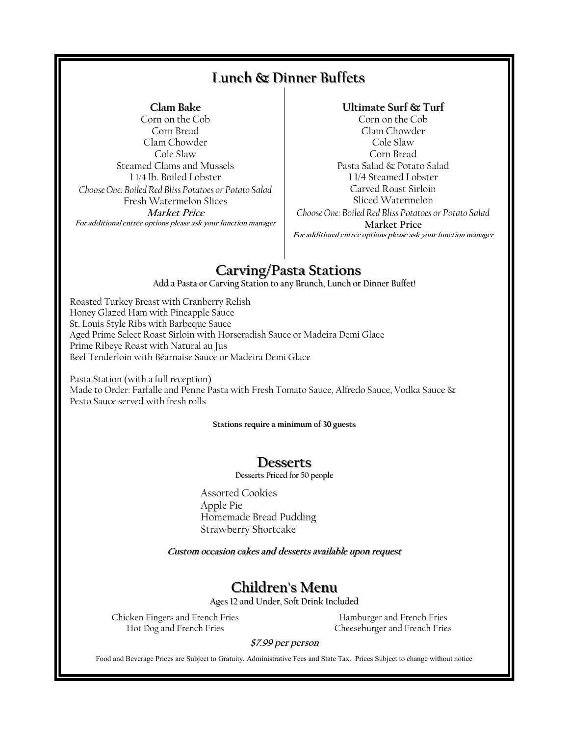# **Lunch & Dinner Buffets**

### **Clam Bake**

Corn on the Cob Corn Bread Clam Chowder Cole Slaw Steamed Clams and Mussels 1 1/4 lb. Boiled Lobster *Choose One: Boiled Red Bliss Potatoes or Potato Salad* Fresh Watermelon Slices **Market Price For additional entrée options please ask your function manager**

### **Ultimate Surf & Turf**

Corn on the Cob Clam Chowder Cole Slaw Corn Bread Pasta Salad & Potato Salad 1 1/4 Steamed Lobster Carved Roast Sirloin Sliced Watermelon *Choose One: Boiled Red Bliss Potatoes or Potato Salad* **Market Price For additional entrée options please ask your function manager**

# **Carving/Pasta Stations**

Add a Pasta or Carving Station to any Brunch, Lunch or Dinner Buffet!

Roasted Turkey Breast with Cranberry Relish Honey Glazed Ham with Pineapple Sauce St. Louis Style Ribs with Barbeque Sauce Aged Prime Select Roast Sirloin with Horseradish Sauce or Madeira Demi Glace Prime Ribeye Roast with Natural au Jus Beef Tenderloin with Béarnaise Sauce or Madeira Demi Glace

Pasta Station (with a full reception) Made to Order: Farfalle and Penne Pasta with Fresh Tomato Sauce, Alfredo Sauce, Vodka Sauce & Pesto Sauce served with fresh rolls

**Stations require a minimum of 30 guests**

### **Desserts**

Desserts Priced for 50 people

Assorted Cookies Apple Pie Homemade Bread Pudding Strawberry Shortcake

**Custom occasion cakes and desserts available upon request** 

# **Children's Menu**

Ages 12 and Under, Soft Drink Included

Chicken Fingers and French Fries Hot Dog and French Fries

Hamburger and French Fries Cheeseburger and French Fries

### **\$7.99 per person**